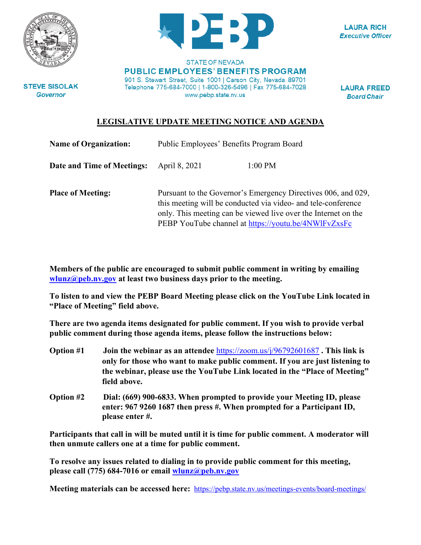



**LAURA RICH Executive Officer** 

**STEVE SISOLAK Governor** 

**STATE OF NEVADA PUBLIC EMPLOYEES' BENEFITS PROGRAM** 901 S. Stewart Street, Suite 1001 | Carson City, Nevada 89701 Telephone 775-684-7000 | 1-800-326-5496 | Fax 775-684-7028 www.pebp.state.nv.us

**LAURA FREED Board Chair** 

## **LEGISLATIVE UPDATE MEETING NOTICE AND AGENDA**

| <b>Name of Organization:</b> | Public Employees' Benefits Program Board                                                                                                                                                                                                                 |           |
|------------------------------|----------------------------------------------------------------------------------------------------------------------------------------------------------------------------------------------------------------------------------------------------------|-----------|
| Date and Time of Meetings:   | April 8, 2021                                                                                                                                                                                                                                            | $1:00$ PM |
| <b>Place of Meeting:</b>     | Pursuant to the Governor's Emergency Directives 006, and 029,<br>this meeting will be conducted via video- and tele-conference<br>only. This meeting can be viewed live over the Internet on the<br>PEBP YouTube channel at https://youtu.be/4NWlFvZxsFc |           |

**Members of the public are encouraged to submit public comment in writing by emailing [wlunz@peb.nv.gov](mailto:wlunz@peb.nv.gov) at least two business days prior to the meeting.**

**To listen to and view the PEBP Board Meeting please click on the YouTube Link located in "Place of Meeting" field above.**

**There are two agenda items designated for public comment. If you wish to provide verbal public comment during those agenda items, please follow the instructions below:**

- **Option #1 Join the webinar as an attendee** <https://zoom.us/j/96792601687> **. This link is only for those who want to make public comment. If you are just listening to the webinar, please use the YouTube Link located in the "Place of Meeting" field above.**
- **Option #2 Dial: (669) 900-6833. When prompted to provide your Meeting ID, please enter: 967 9260 1687 then press #. When prompted for a Participant ID, please enter #.**

**Participants that call in will be muted until it is time for public comment. A moderator will then unmute callers one at a time for public comment.**

**To resolve any issues related to dialing in to provide public comment for this meeting, please call (775) 684-7016 or email [wlunz@peb.nv.gov](mailto:wlunz@peb.nv.gov)**

**Meeting materials can be accessed here:** <https://pebp.state.nv.us/meetings-events/board-meetings/>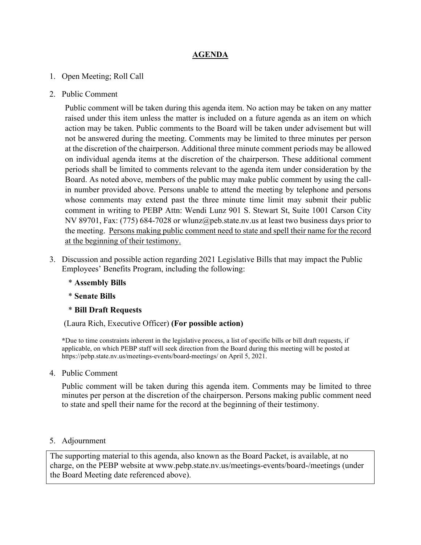## **AGENDA**

- 1. Open Meeting; Roll Call
- 2. Public Comment

Public comment will be taken during this agenda item. No action may be taken on any matter raised under this item unless the matter is included on a future agenda as an item on which action may be taken. Public comments to the Board will be taken under advisement but will not be answered during the meeting. Comments may be limited to three minutes per person at the discretion of the chairperson. Additional three minute comment periods may be allowed on individual agenda items at the discretion of the chairperson. These additional comment periods shall be limited to comments relevant to the agenda item under consideration by the Board. As noted above, members of the public may make public comment by using the callin number provided above. Persons unable to attend the meeting by telephone and persons whose comments may extend past the three minute time limit may submit their public comment in writing to PEBP Attn: Wendi Lunz 901 S. Stewart St, Suite 1001 Carson City NV 89701, Fax: (775) 684-7028 or wlunz@peb.state.nv.us at least two business days prior to the meeting. Persons making public comment need to state and spell their name for the record at the beginning of their testimony.

- 3. Discussion and possible action regarding 2021 Legislative Bills that may impact the Public Employees' Benefits Program, including the following:
	- \* **Assembly Bills**
	- \* **Senate Bills**
	- \* **Bill Draft Requests**

(Laura Rich, Executive Officer) **(For possible action)**

**\***Due to time constraints inherent in the legislative process, a list of specific bills or bill draft requests, if applicable, on which PEBP staff will seek direction from the Board during this meeting will be posted at https://pebp.state.nv.us/meetings-events/board-meetings/ on April 5, 2021.

4. Public Comment

Public comment will be taken during this agenda item. Comments may be limited to three minutes per person at the discretion of the chairperson. Persons making public comment need to state and spell their name for the record at the beginning of their testimony.

5. Adjournment

The supporting material to this agenda, also known as the Board Packet, is available, at no charge, on the PEBP website at www.pebp.state.nv.us/meetings-events/board-/meetings (under the Board Meeting date referenced above).